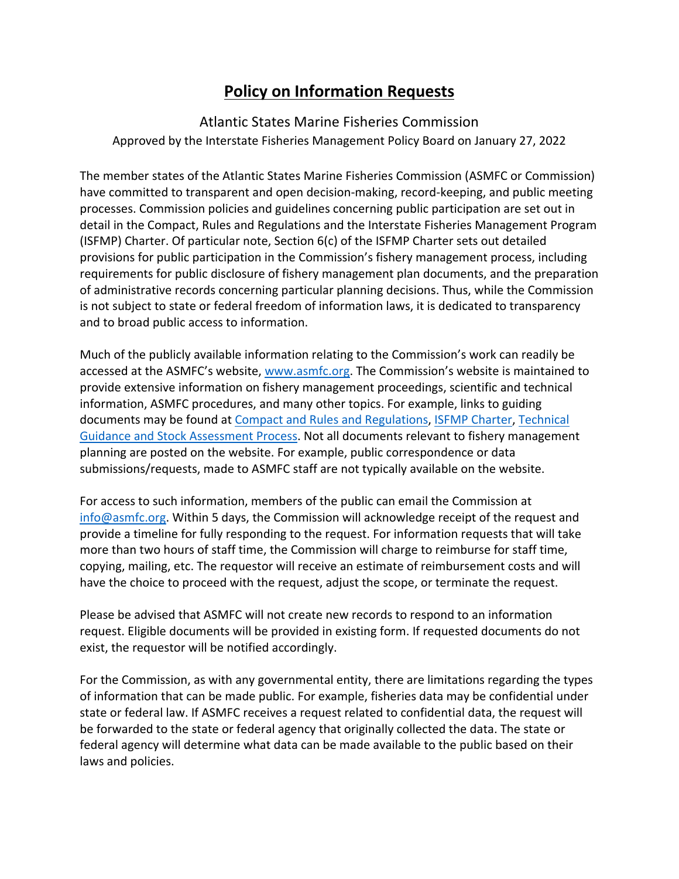## **Policy on Information Requests**

## Atlantic States Marine Fisheries Commission

Approved by the Interstate Fisheries Management Policy Board on January 27, 2022

The member states of the Atlantic States Marine Fisheries Commission (ASMFC or Commission) have committed to transparent and open decision-making, record-keeping, and public meeting processes. Commission policies and guidelines concerning public participation are set out in detail in the Compact, Rules and Regulations and the Interstate Fisheries Management Program (ISFMP) Charter. Of particular note, Section 6(c) of the ISFMP Charter sets out detailed provisions for public participation in the Commission's fishery management process, including requirements for public disclosure of fishery management plan documents, and the preparation of administrative records concerning particular planning decisions. Thus, while the Commission is not subject to state or federal freedom of information laws, it is dedicated to transparency and to broad public access to information.

Much of the publicly available information relating to the Commission's work can readily be accessed at the ASMFC's website, www.asmfc.org. The Commission's website is maintained to provide extensive information on fishery management proceedings, scientific and technical information, ASMFC procedures, and many other topics. For example, links to guiding documents may be found at [Compact and Rules and Regulations,](http://www.asmfc.org/files/pub/CompactRulesRegs_Feb2016.pdf) [ISFMP Charter,](http://www.asmfc.org/files/pub/ISFMPCharter_Aug2019.pdf) [Technical](http://www.asmfc.org/files/pub/TechnicalGuidanceDocument_Aug2019.pdf)  [Guidance and Stock Assessment Process.](http://www.asmfc.org/files/pub/TechnicalGuidanceDocument_Aug2019.pdf) Not all documents relevant to fishery management planning are posted on the website. For example, public correspondence or data submissions/requests, made to ASMFC staff are not typically available on the website.

For access to such information, members of the public can email the Commission at [info@asmfc.org.](mailto:info@asmfc.org) Within 5 days, the Commission will acknowledge receipt of the request and provide a timeline for fully responding to the request. For information requests that will take more than two hours of staff time, the Commission will charge to reimburse for staff time, copying, mailing, etc. The requestor will receive an estimate of reimbursement costs and will have the choice to proceed with the request, adjust the scope, or terminate the request.

Please be advised that ASMFC will not create new records to respond to an information request. Eligible documents will be provided in existing form. If requested documents do not exist, the requestor will be notified accordingly.

For the Commission, as with any governmental entity, there are limitations regarding the types of information that can be made public. For example, fisheries data may be confidential under state or federal law. If ASMFC receives a request related to confidential data, the request will be forwarded to the state or federal agency that originally collected the data. The state or federal agency will determine what data can be made available to the public based on their laws and policies.